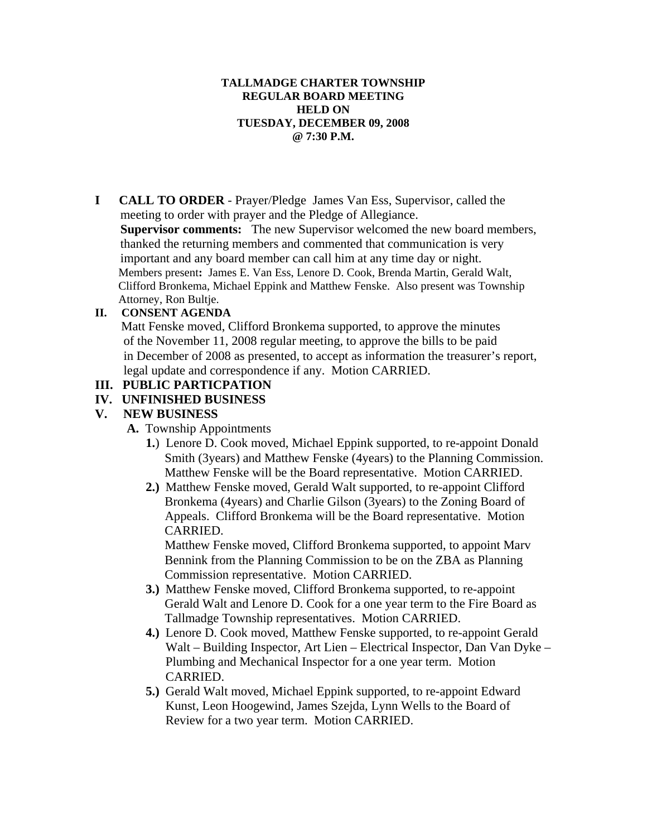#### **TALLMADGE CHARTER TOWNSHIP REGULAR BOARD MEETING HELD ON TUESDAY, DECEMBER 09, 2008 @ 7:30 P.M.**

**I CALL TO ORDER** - Prayer/Pledge James Van Ess, Supervisor, called the meeting to order with prayer and the Pledge of Allegiance. **Supervisor comments:** The new Supervisor welcomed the new board members, thanked the returning members and commented that communication is very important and any board member can call him at any time day or night. Members present**:** James E. Van Ess, Lenore D. Cook, Brenda Martin, Gerald Walt, Clifford Bronkema, Michael Eppink and Matthew Fenske. Also present was Township Attorney, Ron Bultje.

#### **II. CONSENT AGENDA**

 Matt Fenske moved, Clifford Bronkema supported, to approve the minutes of the November 11, 2008 regular meeting, to approve the bills to be paid in December of 2008 as presented, to accept as information the treasurer's report, legal update and correspondence if any. Motion CARRIED.

## **III. PUBLIC PARTICPATION**

### **IV. UNFINISHED BUSINESS**

#### **V. NEW BUSINESS**

- **A.** Township Appointments
	- **1.**) Lenore D. Cook moved, Michael Eppink supported, to re-appoint Donald Smith (3years) and Matthew Fenske (4years) to the Planning Commission. Matthew Fenske will be the Board representative. Motion CARRIED.
	- **2.)** Matthew Fenske moved, Gerald Walt supported, to re-appoint Clifford Bronkema (4years) and Charlie Gilson (3years) to the Zoning Board of Appeals. Clifford Bronkema will be the Board representative. Motion CARRIED.

Matthew Fenske moved, Clifford Bronkema supported, to appoint Marv Bennink from the Planning Commission to be on the ZBA as Planning Commission representative. Motion CARRIED.

- **3.)** Matthew Fenske moved, Clifford Bronkema supported, to re-appoint Gerald Walt and Lenore D. Cook for a one year term to the Fire Board as Tallmadge Township representatives. Motion CARRIED.
- **4.)** Lenore D. Cook moved, Matthew Fenske supported, to re-appoint Gerald Walt – Building Inspector, Art Lien – Electrical Inspector, Dan Van Dyke – Plumbing and Mechanical Inspector for a one year term. Motion CARRIED.
- **5.)** Gerald Walt moved, Michael Eppink supported, to re-appoint Edward Kunst, Leon Hoogewind, James Szejda, Lynn Wells to the Board of Review for a two year term. Motion CARRIED.